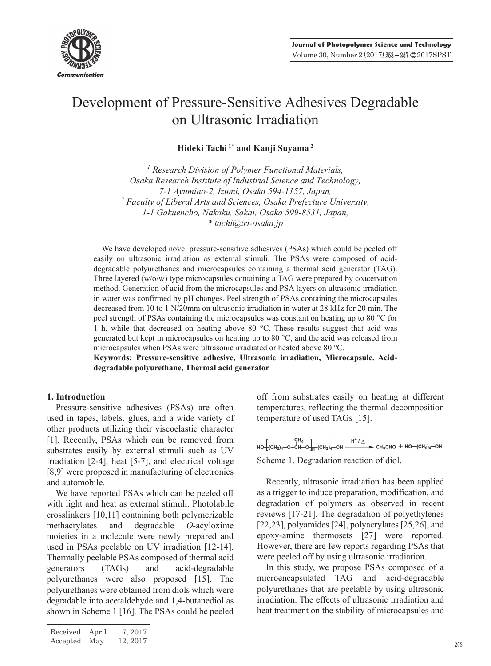

# Development of Pressure-Sensitive Adhesives Degradable on Ultrasonic Irradiation

**Hideki Tachi 1\* and Kanji Suyama 2**

*1 Research Division of Polymer Functional Materials, Osaka Research Institute of Industrial Science and Technology, 7-1 Ayumino-2, Izumi, Osaka 594-1157, Japan,*  <sup>2</sup> Faculty of Liberal Arts and Sciences, Osaka Prefecture University, *1-1 Gakuencho, Nakaku, Sakai, Osaka 599-8531, Japan, \* tachi@tri-osaka.jp*

We have developed novel pressure-sensitive adhesives (PSAs) which could be peeled off easily on ultrasonic irradiation as external stimuli. The PSAs were composed of aciddegradable polyurethanes and microcapsules containing a thermal acid generator (TAG). Three layered (w/o/w) type microcapsules containing a TAG were prepared by coacervation method. Generation of acid from the microcapsules and PSA layers on ultrasonic irradiation in water was confirmed by pH changes. Peel strength of PSAs containing the microcapsules decreased from 10 to 1 N/20mm on ultrasonic irradiation in water at 28 kHz for 20 min. The peel strength of PSAs containing the microcapsules was constant on heating up to 80 °C for 1 h, while that decreased on heating above 80 °C. These results suggest that acid was generated but kept in microcapsules on heating up to 80 °C, and the acid was released from microcapsules when PSAs were ultrasonic irradiated or heated above 80 °C.

**Keywords: Pressure-sensitive adhesive, Ultrasonic irradiation, Microcapsule, Aciddegradable polyurethane, Thermal acid generator** 

## **1. Introduction**

Pressure-sensitive adhesives (PSAs) are often used in tapes, labels, glues, and a wide variety of other products utilizing their viscoelastic character [1]. Recently, PSAs which can be removed from substrates easily by external stimuli such as UV irradiation [2-4], heat [5-7], and electrical voltage [8,9] were proposed in manufacturing of electronics and automobile.

We have reported PSAs which can be peeled off with light and heat as external stimuli. Photolabile crosslinkers [10,11] containing both polymerizable methacrylates and degradable *O*-acyloxime moieties in a molecule were newly prepared and used in PSAs peelable on UV irradiation [12-14]. Thermally peelable PSAs composed of thermal acid generators (TAGs) and acid-degradable polyurethanes were also proposed [15]. The polyurethanes were obtained from diols which were degradable into acetaldehyde and 1,4-butanediol as shown in Scheme 1 [16]. The PSAs could be peeled off from substrates easily on heating at different temperatures, reflecting the thermal decomposition temperature of used TAGs [15].

 $H^* / \Delta$ <br> $H^* / \Delta$ <br> $H^* / \Delta$ <br> $H^* / \Delta$ <br> $H^* / \Delta$ <br> $H^* / \Delta$ <br> $H^* / \Delta$ <br> $H^* / \Delta$ <br> $H^* / \Delta$ <br> $H^* / \Delta$ Scheme 1. Degradation reaction of diol.

Recently, ultrasonic irradiation has been applied as a trigger to induce preparation, modification, and degradation of polymers as observed in recent reviews [17-21]. The degradation of polyethylenes [22,23], polyamides [24], polyacrylates [25,26], and epoxy-amine thermosets [27] were reported. However, there are few reports regarding PSAs that were peeled off by using ultrasonic irradiation.

In this study, we propose PSAs composed of a microencapsulated TAG and acid-degradable polyurethanes that are peelable by using ultrasonic irradiation. The effects of ultrasonic irradiation and heat treatment on the stability of microcapsules and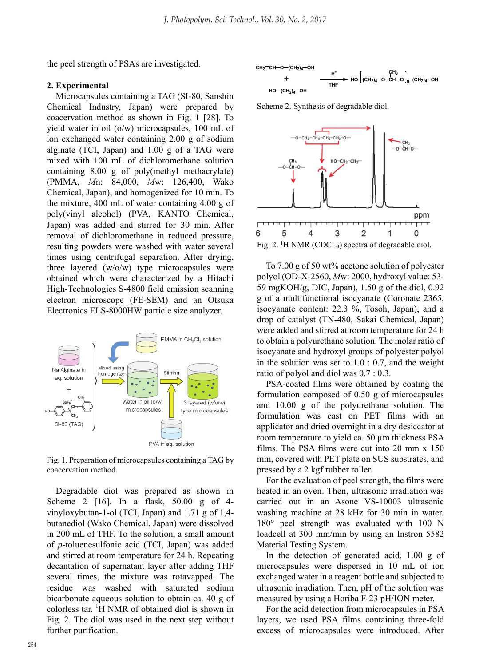the peel strength of PSAs are investigated.

## **2. Experimental**

Microcapsules containing a TAG (SI-80, Sanshin Chemical Industry, Japan) were prepared by coacervation method as shown in Fig. 1 [28]. To yield water in oil (o/w) microcapsules, 100 mL of ion exchanged water containing 2.00 g of sodium alginate (TCI, Japan) and 1.00 g of a TAG were mixed with 100 mL of dichloromethane solution containing 8.00 g of poly(methyl methacrylate) (PMMA, *M*n: 84,000, *M*w: 126,400, Wako Chemical, Japan), and homogenized for 10 min. To the mixture, 400 mL of water containing 4.00 g of poly(vinyl alcohol) (PVA, KANTO Chemical, Japan) was added and stirred for 30 min. After removal of dichloromethane in reduced pressure, resulting powders were washed with water several times using centrifugal separation. After drying, three layered (w/o/w) type microcapsules were obtained which were characterized by a Hitachi High-Technologies S-4800 field emission scanning electron microscope (FE-SEM) and an Otsuka Electronics ELS-8000HW particle size analyzer.



Fig. 1. Preparation of microcapsules containing a TAG by coacervation method.

Degradable diol was prepared as shown in Scheme 2 [16]. In a flask, 50.00 g of 4 vinyloxybutan-1-ol (TCI, Japan) and 1.71 g of 1,4 butanediol (Wako Chemical, Japan) were dissolved in 200 mL of THF. To the solution, a small amount of *p*-toluenesulfonic acid (TCI, Japan) was added and stirred at room temperature for 24 h. Repeating decantation of supernatant layer after adding THF several times, the mixture was rotavapped. The residue was washed with saturated sodium bicarbonate aqueous solution to obtain ca. 40 g of colorless tar. <sup>1</sup> H NMR of obtained diol is shown in Fig. 2. The diol was used in the next step without further purification.



Scheme 2. Synthesis of degradable diol.



To 7.00 g of 50 wt% acetone solution of polyester polyol (OD-X-2560, *M*w: 2000, hydroxyl value: 53- 59 mgKOH/g, DIC, Japan), 1.50 g of the diol, 0.92 g of a multifunctional isocyanate (Coronate 2365, isocyanate content: 22.3 %, Tosoh, Japan), and a drop of catalyst (TN-480, Sakai Chemical, Japan) were added and stirred at room temperature for 24 h to obtain a polyurethane solution. The molar ratio of isocyanate and hydroxyl groups of polyester polyol in the solution was set to 1.0 : 0.7, and the weight ratio of polyol and diol was 0.7 : 0.3.

PSA-coated films were obtained by coating the formulation composed of 0.50 g of microcapsules and 10.00 g of the polyurethane solution. The formulation was cast on PET films with an applicator and dried overnight in a dry desiccator at room temperature to yield ca. 50 µm thickness PSA films. The PSA films were cut into 20 mm x 150 mm, covered with PET plate on SUS substrates, and pressed by a 2 kgf rubber roller.

For the evaluation of peel strength, the films were heated in an oven. Then, ultrasonic irradiation was carried out in an Asone VS-10003 ultrasonic washing machine at 28 kHz for 30 min in water. 180° peel strength was evaluated with 100 N loadcell at 300 mm/min by using an Instron 5582 Material Testing System.

In the detection of generated acid, 1.00 g of microcapsules were dispersed in 10 mL of ion exchanged water in a reagent bottle and subjected to ultrasonic irradiation. Then, pH of the solution was measured by using a Horiba F-23 pH/ION meter.

For the acid detection from microcapsules in PSA layers, we used PSA films containing three-fold excess of microcapsules were introduced. After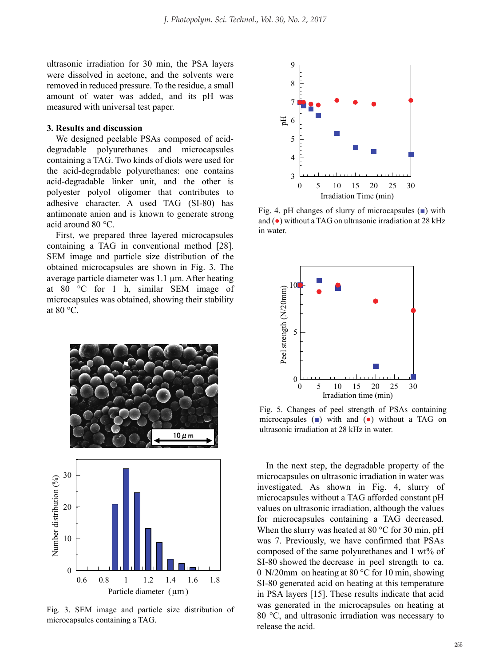ultrasonic irradiation for 30 min, the PSA layers were dissolved in acetone, and the solvents were removed in reduced pressure. To the residue, a small amount of water was added, and its pH was measured with universal test paper.

## **3. Results and discussion**

We designed peelable PSAs composed of aciddegradable polyurethanes and microcapsules containing a TAG. Two kinds of diols were used for the acid-degradable polyurethanes: one contains acid-degradable linker unit, and the other is polyester polyol oligomer that contributes to adhesive character. A used TAG (SI-80) has antimonate anion and is known to generate strong acid around 80 °C.

First, we prepared three layered microcapsules containing a TAG in conventional method [28]. SEM image and particle size distribution of the obtained microcapsules are shown in Fig. 3. The average particle diameter was 1.1 µm. After heating at 80 °C for 1 h, similar SEM image of microcapsules was obtained, showing their stability at  $80 °C$ .



Fig. 3. SEM image and particle size distribution of microcapsules containing a TAG.



Fig. 4. pH changes of slurry of microcapsules  $(\blacksquare)$  with and (●) without a TAG on ultrasonic irradiation at 28 kHz in water.



Fig. 5. Changes of peel strength of PSAs containing microcapsules  $(\blacksquare)$  with and  $(\lozenge)$  without a TAG on ultrasonic irradiation at 28 kHz in water.

In the next step, the degradable property of the microcapsules on ultrasonic irradiation in water was investigated. As shown in Fig. 4, slurry of microcapsules without a TAG afforded constant pH values on ultrasonic irradiation, although the values for microcapsules containing a TAG decreased. When the slurry was heated at 80 °C for 30 min, pH was 7. Previously, we have confirmed that PSAs composed of the same polyurethanes and 1 wt% of SI-80 showed the decrease in peel strength to ca. 0 N/20mm on heating at 80 °C for 10 min, showing SI-80 generated acid on heating at this temperature in PSA layers [15]. These results indicate that acid was generated in the microcapsules on heating at 80 °C, and ultrasonic irradiation was necessary to release the acid.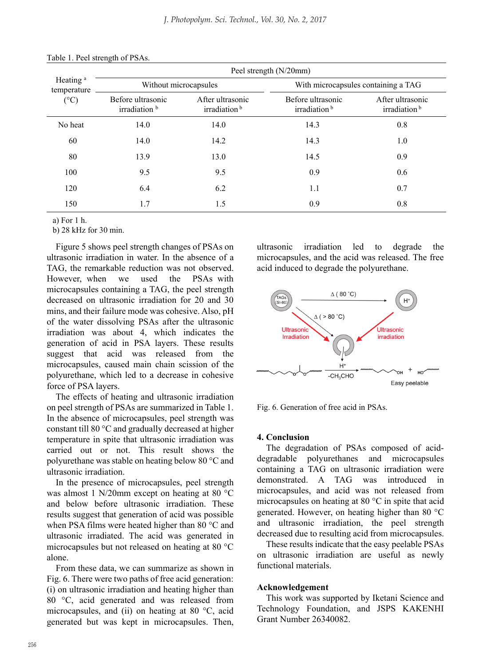| Heating <sup>a</sup><br>temperature<br>$({}^{\circ}C)$ | Peel strength (N/20mm)                        |                                              |                                               |                                              |
|--------------------------------------------------------|-----------------------------------------------|----------------------------------------------|-----------------------------------------------|----------------------------------------------|
|                                                        | Without microcapsules                         |                                              | With microcapsules containing a TAG           |                                              |
|                                                        | Before ultrasonic<br>irradiation <sup>b</sup> | After ultrasonic<br>irradiation <sup>b</sup> | Before ultrasonic<br>irradiation <sup>b</sup> | After ultrasonic<br>irradiation <sup>b</sup> |
| No heat                                                | 14.0                                          | 14.0                                         | 14.3                                          | 0.8                                          |
| 60                                                     | 14.0                                          | 14.2                                         | 14.3                                          | 1.0                                          |
| 80                                                     | 13.9                                          | 13.0                                         | 14.5                                          | 0.9                                          |
| 100                                                    | 9.5                                           | 9.5                                          | 0.9                                           | 0.6                                          |
| 120                                                    | 6.4                                           | 6.2                                          | 1.1                                           | 0.7                                          |
| 150                                                    | 1.7                                           | 1.5                                          | 0.9                                           | 0.8                                          |

#### Table 1. Peel strength of PSAs.

a) For 1 h.

b) 28 kHz for 30 min.

Figure 5 shows peel strength changes of PSAs on ultrasonic irradiation in water. In the absence of a TAG, the remarkable reduction was not observed. However, when we used the PSAs with microcapsules containing a TAG, the peel strength decreased on ultrasonic irradiation for 20 and 30 mins, and their failure mode was cohesive. Also, pH of the water dissolving PSAs after the ultrasonic irradiation was about 4, which indicates the generation of acid in PSA layers. These results suggest that acid was released from the microcapsules, caused main chain scission of the polyurethane, which led to a decrease in cohesive force of PSA layers.

The effects of heating and ultrasonic irradiation on peel strength of PSAs are summarized in Table 1. In the absence of microcapsules, peel strength was constant till 80 °C and gradually decreased at higher temperature in spite that ultrasonic irradiation was carried out or not. This result shows the polyurethane was stable on heating below 80 °C and ultrasonic irradiation.

In the presence of microcapsules, peel strength was almost 1 N/20mm except on heating at 80 °C and below before ultrasonic irradiation. These results suggest that generation of acid was possible when PSA films were heated higher than 80 °C and ultrasonic irradiated. The acid was generated in microcapsules but not released on heating at 80 °C alone.

From these data, we can summarize as shown in Fig. 6. There were two paths of free acid generation: (i) on ultrasonic irradiation and heating higher than 80 °C, acid generated and was released from microcapsules, and (ii) on heating at 80 °C, acid generated but was kept in microcapsules. Then, ultrasonic irradiation led to degrade the microcapsules, and the acid was released. The free acid induced to degrade the polyurethane.



Fig. 6. Generation of free acid in PSAs.

## **4. Conclusion**

The degradation of PSAs composed of aciddegradable polyurethanes and microcapsules containing a TAG on ultrasonic irradiation were demonstrated. A TAG was introduced in microcapsules, and acid was not released from microcapsules on heating at 80 °C in spite that acid generated. However, on heating higher than 80 °C and ultrasonic irradiation, the peel strength decreased due to resulting acid from microcapsules.

These results indicate that the easy peelable PSAs on ultrasonic irradiation are useful as newly functional materials.

#### **Acknowledgement**

This work was supported by Iketani Science and Technology Foundation, and JSPS KAKENHI Grant Number 26340082.